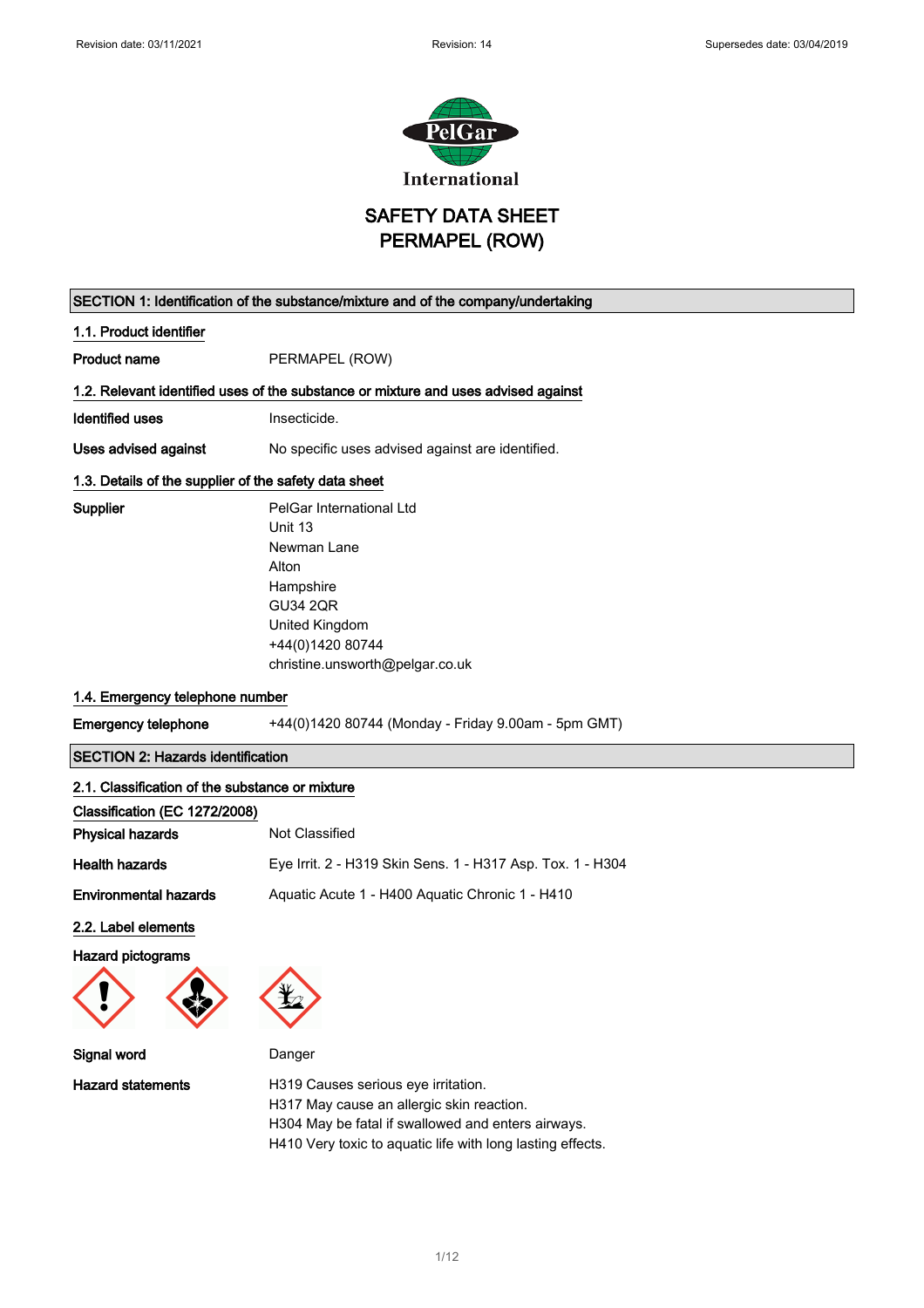

SAFETY DATA SHEET PERMAPEL (ROW)

|                                                       | SECTION 1: Identification of the substance/mixture and of the company/undertaking                                                                                    |
|-------------------------------------------------------|----------------------------------------------------------------------------------------------------------------------------------------------------------------------|
| 1.1. Product identifier                               |                                                                                                                                                                      |
| <b>Product name</b>                                   | PERMAPEL (ROW)                                                                                                                                                       |
|                                                       | 1.2. Relevant identified uses of the substance or mixture and uses advised against                                                                                   |
| <b>Identified uses</b>                                | Insecticide.                                                                                                                                                         |
| Uses advised against                                  | No specific uses advised against are identified.                                                                                                                     |
| 1.3. Details of the supplier of the safety data sheet |                                                                                                                                                                      |
| Supplier                                              | PelGar International Ltd<br>Unit 13<br>Newman Lane<br>Alton<br>Hampshire<br><b>GU34 2QR</b><br>United Kingdom<br>+44(0)1420 80744<br>christine.unsworth@pelgar.co.uk |
| 1.4. Emergency telephone number                       |                                                                                                                                                                      |
| <b>Emergency telephone</b>                            | +44(0)1420 80744 (Monday - Friday 9.00am - 5pm GMT)                                                                                                                  |
| <b>SECTION 2: Hazards identification</b>              |                                                                                                                                                                      |
| 2.1. Classification of the substance or mixture       |                                                                                                                                                                      |
| Classification (EC 1272/2008)                         |                                                                                                                                                                      |
| <b>Physical hazards</b>                               | Not Classified                                                                                                                                                       |
| <b>Health hazards</b>                                 | Eye Irrit. 2 - H319 Skin Sens. 1 - H317 Asp. Tox. 1 - H304                                                                                                           |
| <b>Environmental hazards</b>                          | Aquatic Acute 1 - H400 Aquatic Chronic 1 - H410                                                                                                                      |
| 2.2. Label elements                                   |                                                                                                                                                                      |
| <b>Hazard pictograms</b>                              |                                                                                                                                                                      |
|                                                       | $\mathbf{X}$                                                                                                                                                         |
| Signal word                                           | Danger                                                                                                                                                               |
| <b>Hazard statements</b>                              | H319 Causes serious eye irritation.<br>H317 May cause an allergic skin reaction.<br>H304 May be fatal if swallowed and enters airways.                               |

H410 Very toxic to aquatic life with long lasting effects.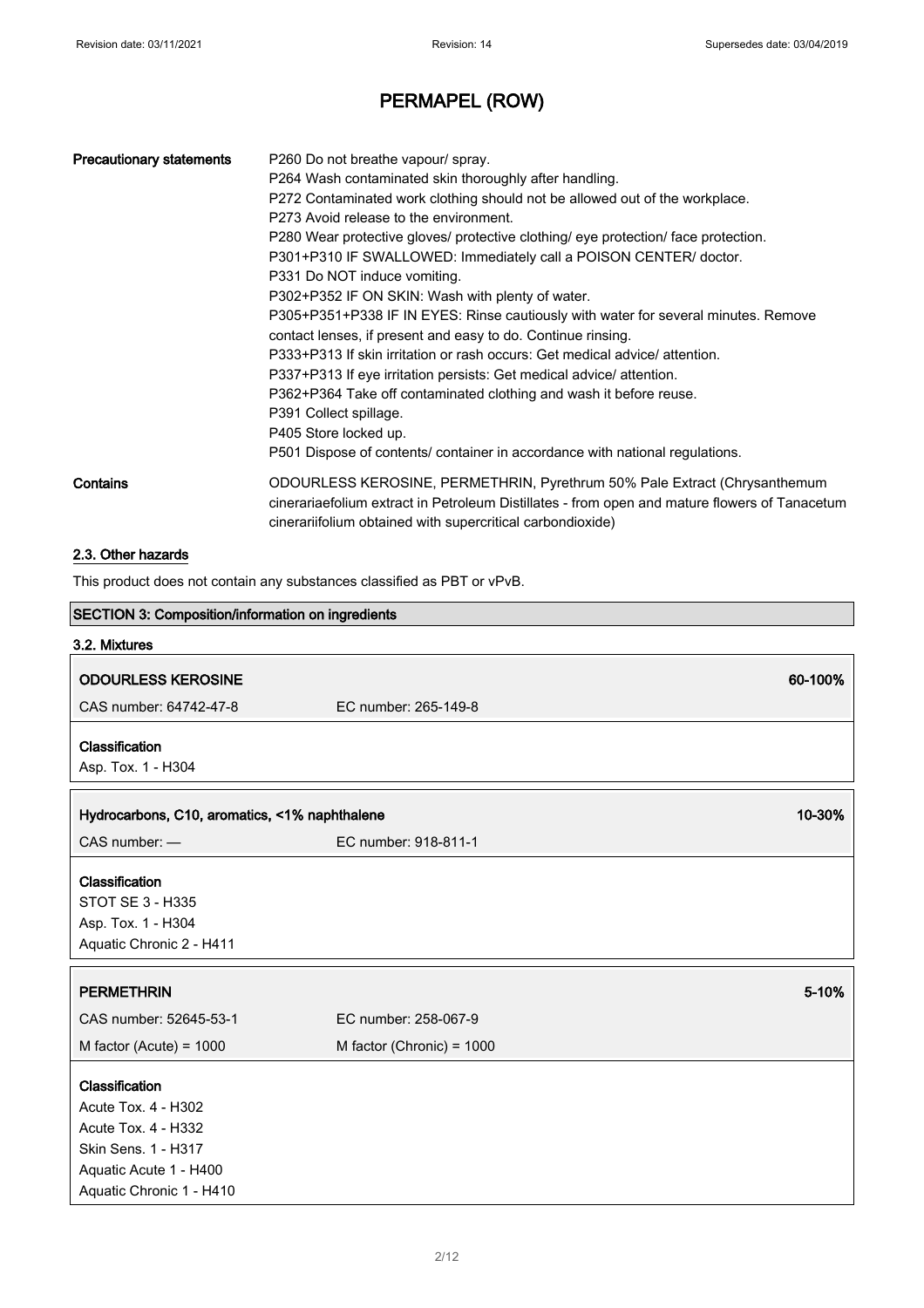| <b>Precautionary statements</b> | P260 Do not breathe vapour/ spray.<br>P264 Wash contaminated skin thoroughly after handling.<br>P272 Contaminated work clothing should not be allowed out of the workplace.<br>P273 Avoid release to the environment.<br>P280 Wear protective gloves/ protective clothing/ eye protection/ face protection.<br>P301+P310 IF SWALLOWED: Immediately call a POISON CENTER/ doctor.<br>P331 Do NOT induce vomiting.                                                                                                                                                      |
|---------------------------------|-----------------------------------------------------------------------------------------------------------------------------------------------------------------------------------------------------------------------------------------------------------------------------------------------------------------------------------------------------------------------------------------------------------------------------------------------------------------------------------------------------------------------------------------------------------------------|
|                                 | P302+P352 IF ON SKIN: Wash with plenty of water.<br>P305+P351+P338 IF IN EYES: Rinse cautiously with water for several minutes. Remove<br>contact lenses, if present and easy to do. Continue rinsing.<br>P333+P313 If skin irritation or rash occurs: Get medical advice/attention.<br>P337+P313 If eye irritation persists: Get medical advice/ attention.<br>P362+P364 Take off contaminated clothing and wash it before reuse.<br>P391 Collect spillage.<br>P405 Store locked up.<br>P501 Dispose of contents/ container in accordance with national regulations. |
| Contains                        | ODOURLESS KEROSINE, PERMETHRIN, Pyrethrum 50% Pale Extract (Chrysanthemum<br>cinerariaefolium extract in Petroleum Distillates - from open and mature flowers of Tanacetum<br>cinerariifolium obtained with supercritical carbondioxide)                                                                                                                                                                                                                                                                                                                              |
| 2.3. Other hazards              |                                                                                                                                                                                                                                                                                                                                                                                                                                                                                                                                                                       |

This product does not contain any substances classified as PBT or vPvB.

| SECTION 3: Composition/information on ingredients |                           |         |
|---------------------------------------------------|---------------------------|---------|
| 3.2. Mixtures                                     |                           |         |
| <b>ODOURLESS KEROSINE</b>                         |                           | 60-100% |
|                                                   |                           |         |
| CAS number: 64742-47-8                            | EC number: 265-149-8      |         |
| Classification                                    |                           |         |
| Asp. Tox. 1 - H304                                |                           |         |
| Hydrocarbons, C10, aromatics, <1% naphthalene     |                           | 10-30%  |
|                                                   |                           |         |
| CAS number: -                                     | EC number: 918-811-1      |         |
| Classification                                    |                           |         |
| <b>STOT SE 3 - H335</b>                           |                           |         |
| Asp. Tox. 1 - H304                                |                           |         |
| Aquatic Chronic 2 - H411                          |                           |         |
|                                                   |                           |         |
| <b>PERMETHRIN</b>                                 |                           | 5-10%   |
| CAS number: 52645-53-1                            | EC number: 258-067-9      |         |
| M factor (Acute) = $1000$                         | M factor (Chronic) = 1000 |         |
| Classification                                    |                           |         |
| Acute Tox. 4 - H302                               |                           |         |
| Acute Tox. 4 - H332                               |                           |         |
| Skin Sens. 1 - H317                               |                           |         |
| Aquatic Acute 1 - H400                            |                           |         |
| Aquatic Chronic 1 - H410                          |                           |         |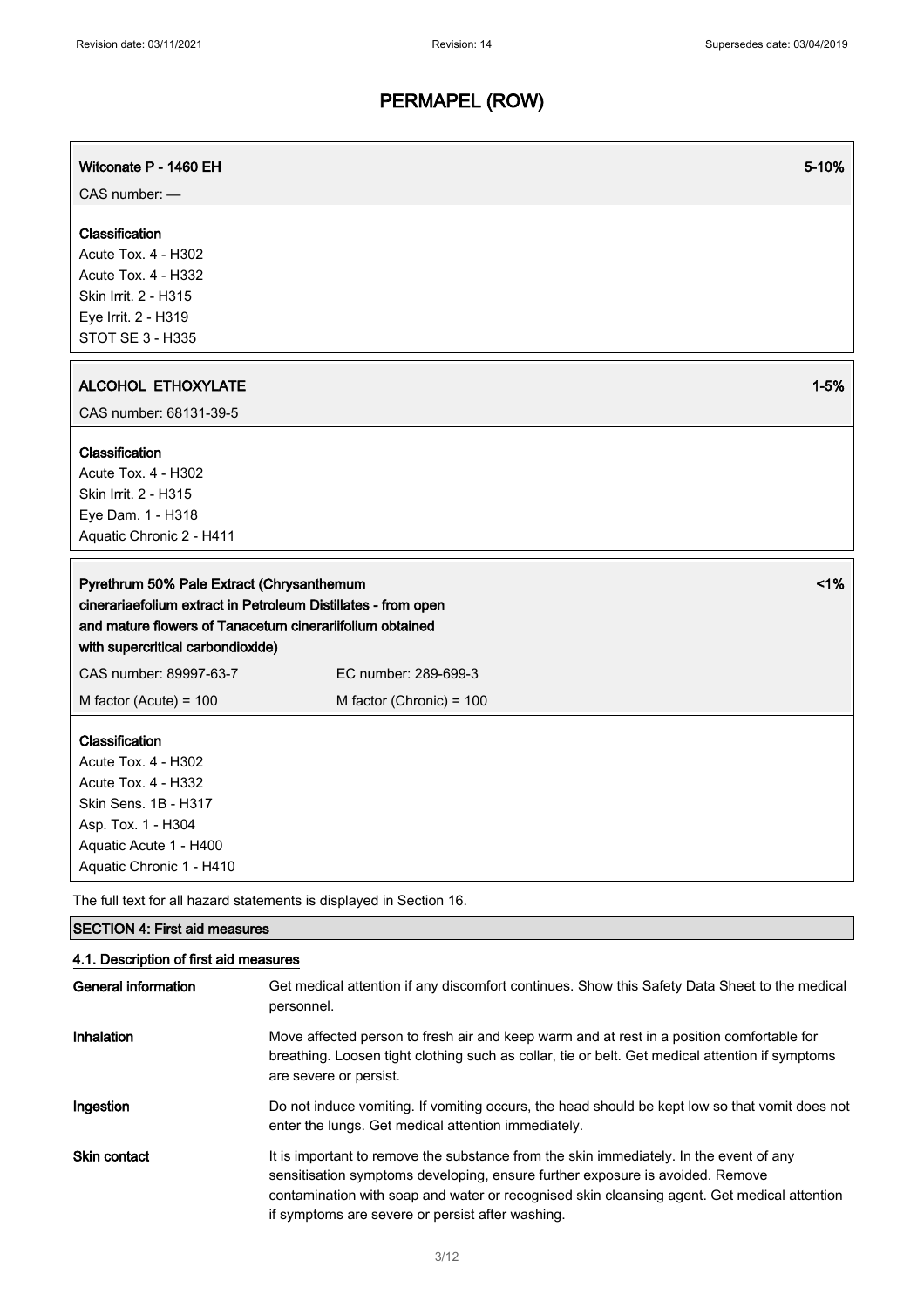| Witconate P - 1460 EH                                                                                                                                            | 5-10%                                                                                                                                                                                                                  |
|------------------------------------------------------------------------------------------------------------------------------------------------------------------|------------------------------------------------------------------------------------------------------------------------------------------------------------------------------------------------------------------------|
| CAS number: -<br>Classification<br>Acute Tox. 4 - H302<br>Acute Tox. 4 - H332<br>Skin Irrit. 2 - H315                                                            |                                                                                                                                                                                                                        |
| Eye Irrit. 2 - H319<br>STOT SE 3 - H335                                                                                                                          |                                                                                                                                                                                                                        |
| <b>ALCOHOL ETHOXYLATE</b><br>CAS number: 68131-39-5                                                                                                              | $1 - 5%$                                                                                                                                                                                                               |
| Classification<br>Acute Tox. 4 - H302<br>Skin Irrit. 2 - H315<br>Eye Dam. 1 - H318<br>Aquatic Chronic 2 - H411                                                   |                                                                                                                                                                                                                        |
| Pyrethrum 50% Pale Extract (Chrysanthemum<br>and mature flowers of Tanacetum cinerariifolium obtained<br>with supercritical carbondioxide)                       | 1%<br>cinerariaefolium extract in Petroleum Distillates - from open                                                                                                                                                    |
| CAS number: 89997-63-7<br>M factor (Acute) = $100$                                                                                                               | EC number: 289-699-3<br>M factor (Chronic) = 100                                                                                                                                                                       |
| Classification<br>Acute Tox. 4 - H302<br>Acute Tox. 4 - H332<br>Skin Sens. 1B - H317<br>Asp. Tox. 1 - H304<br>Aquatic Acute 1 - H400<br>Aquatic Chronic 1 - H410 |                                                                                                                                                                                                                        |
| The full text for all hazard statements is displayed in Section 16.                                                                                              |                                                                                                                                                                                                                        |
| <b>SECTION 4: First aid measures</b>                                                                                                                             |                                                                                                                                                                                                                        |
| 4.1. Description of first aid measures<br><b>General information</b>                                                                                             | Get medical attention if any discomfort continues. Show this Safety Data Sheet to the medical<br>personnel.                                                                                                            |
| Inhalation                                                                                                                                                       | Move affected person to fresh air and keep warm and at rest in a position comfortable for<br>breathing. Loosen tight clothing such as collar, tie or belt. Get medical attention if symptoms<br>are severe or persist. |

Ingestion Do not induce vomiting. If vomiting occurs, the head should be kept low so that vomit does not enter the lungs. Get medical attention immediately.

Skin contact It is important to remove the substance from the skin immediately. In the event of any sensitisation symptoms developing, ensure further exposure is avoided. Remove contamination with soap and water or recognised skin cleansing agent. Get medical attention if symptoms are severe or persist after washing.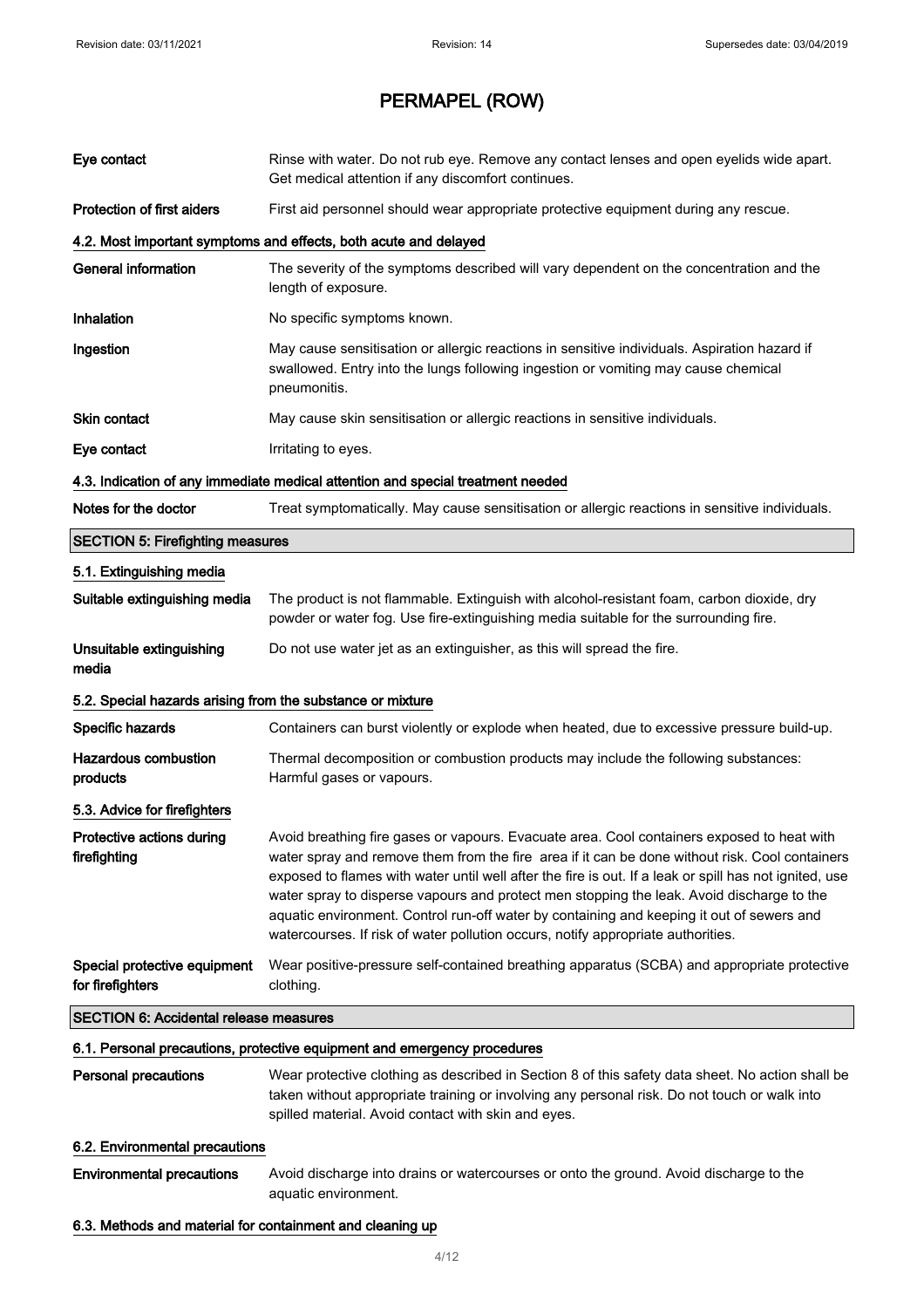| Eye contact                                                | Rinse with water. Do not rub eye. Remove any contact lenses and open eyelids wide apart.<br>Get medical attention if any discomfort continues.                                                                                                                                                                                                                                                                                                                                                                                                                                       |
|------------------------------------------------------------|--------------------------------------------------------------------------------------------------------------------------------------------------------------------------------------------------------------------------------------------------------------------------------------------------------------------------------------------------------------------------------------------------------------------------------------------------------------------------------------------------------------------------------------------------------------------------------------|
| <b>Protection of first aiders</b>                          | First aid personnel should wear appropriate protective equipment during any rescue.                                                                                                                                                                                                                                                                                                                                                                                                                                                                                                  |
|                                                            | 4.2. Most important symptoms and effects, both acute and delayed                                                                                                                                                                                                                                                                                                                                                                                                                                                                                                                     |
| <b>General information</b>                                 | The severity of the symptoms described will vary dependent on the concentration and the<br>length of exposure.                                                                                                                                                                                                                                                                                                                                                                                                                                                                       |
| Inhalation                                                 | No specific symptoms known.                                                                                                                                                                                                                                                                                                                                                                                                                                                                                                                                                          |
| Ingestion                                                  | May cause sensitisation or allergic reactions in sensitive individuals. Aspiration hazard if<br>swallowed. Entry into the lungs following ingestion or vomiting may cause chemical<br>pneumonitis.                                                                                                                                                                                                                                                                                                                                                                                   |
| <b>Skin contact</b>                                        | May cause skin sensitisation or allergic reactions in sensitive individuals.                                                                                                                                                                                                                                                                                                                                                                                                                                                                                                         |
| Eye contact                                                | Irritating to eyes.                                                                                                                                                                                                                                                                                                                                                                                                                                                                                                                                                                  |
|                                                            | 4.3. Indication of any immediate medical attention and special treatment needed                                                                                                                                                                                                                                                                                                                                                                                                                                                                                                      |
| Notes for the doctor                                       | Treat symptomatically. May cause sensitisation or allergic reactions in sensitive individuals.                                                                                                                                                                                                                                                                                                                                                                                                                                                                                       |
| <b>SECTION 5: Firefighting measures</b>                    |                                                                                                                                                                                                                                                                                                                                                                                                                                                                                                                                                                                      |
| 5.1. Extinguishing media                                   |                                                                                                                                                                                                                                                                                                                                                                                                                                                                                                                                                                                      |
| Suitable extinguishing media                               | The product is not flammable. Extinguish with alcohol-resistant foam, carbon dioxide, dry<br>powder or water fog. Use fire-extinguishing media suitable for the surrounding fire.                                                                                                                                                                                                                                                                                                                                                                                                    |
| Unsuitable extinguishing<br>media                          | Do not use water jet as an extinguisher, as this will spread the fire.                                                                                                                                                                                                                                                                                                                                                                                                                                                                                                               |
| 5.2. Special hazards arising from the substance or mixture |                                                                                                                                                                                                                                                                                                                                                                                                                                                                                                                                                                                      |
| Specific hazards                                           | Containers can burst violently or explode when heated, due to excessive pressure build-up.                                                                                                                                                                                                                                                                                                                                                                                                                                                                                           |
| <b>Hazardous combustion</b><br>products                    | Thermal decomposition or combustion products may include the following substances:<br>Harmful gases or vapours.                                                                                                                                                                                                                                                                                                                                                                                                                                                                      |
| 5.3. Advice for firefighters                               |                                                                                                                                                                                                                                                                                                                                                                                                                                                                                                                                                                                      |
| Protective actions during<br>firefighting                  | Avoid breathing fire gases or vapours. Evacuate area. Cool containers exposed to heat with<br>water spray and remove them from the fire area if it can be done without risk. Cool containers<br>exposed to flames with water until well after the fire is out. If a leak or spill has not ignited, use<br>water spray to disperse vapours and protect men stopping the leak. Avoid discharge to the<br>aquatic environment. Control run-off water by containing and keeping it out of sewers and<br>watercourses. If risk of water pollution occurs, notify appropriate authorities. |
| Special protective equipment<br>for firefighters           | Wear positive-pressure self-contained breathing apparatus (SCBA) and appropriate protective<br>clothing.                                                                                                                                                                                                                                                                                                                                                                                                                                                                             |
| <b>SECTION 6: Accidental release measures</b>              |                                                                                                                                                                                                                                                                                                                                                                                                                                                                                                                                                                                      |
|                                                            | 6.1. Personal precautions, protective equipment and emergency procedures                                                                                                                                                                                                                                                                                                                                                                                                                                                                                                             |
| Personal precautions                                       | Wear protective clothing as described in Section 8 of this safety data sheet. No action shall be<br>taken without appropriate training or involving any personal risk. Do not touch or walk into<br>spilled material. Avoid contact with skin and eyes.                                                                                                                                                                                                                                                                                                                              |
| 6.2. Environmental precautions                             |                                                                                                                                                                                                                                                                                                                                                                                                                                                                                                                                                                                      |
| <b>Environmental precautions</b>                           | Avoid discharge into drains or watercourses or onto the ground. Avoid discharge to the<br>aquatic environment.                                                                                                                                                                                                                                                                                                                                                                                                                                                                       |
| 6.3. Methods and material for containment and cleaning up  |                                                                                                                                                                                                                                                                                                                                                                                                                                                                                                                                                                                      |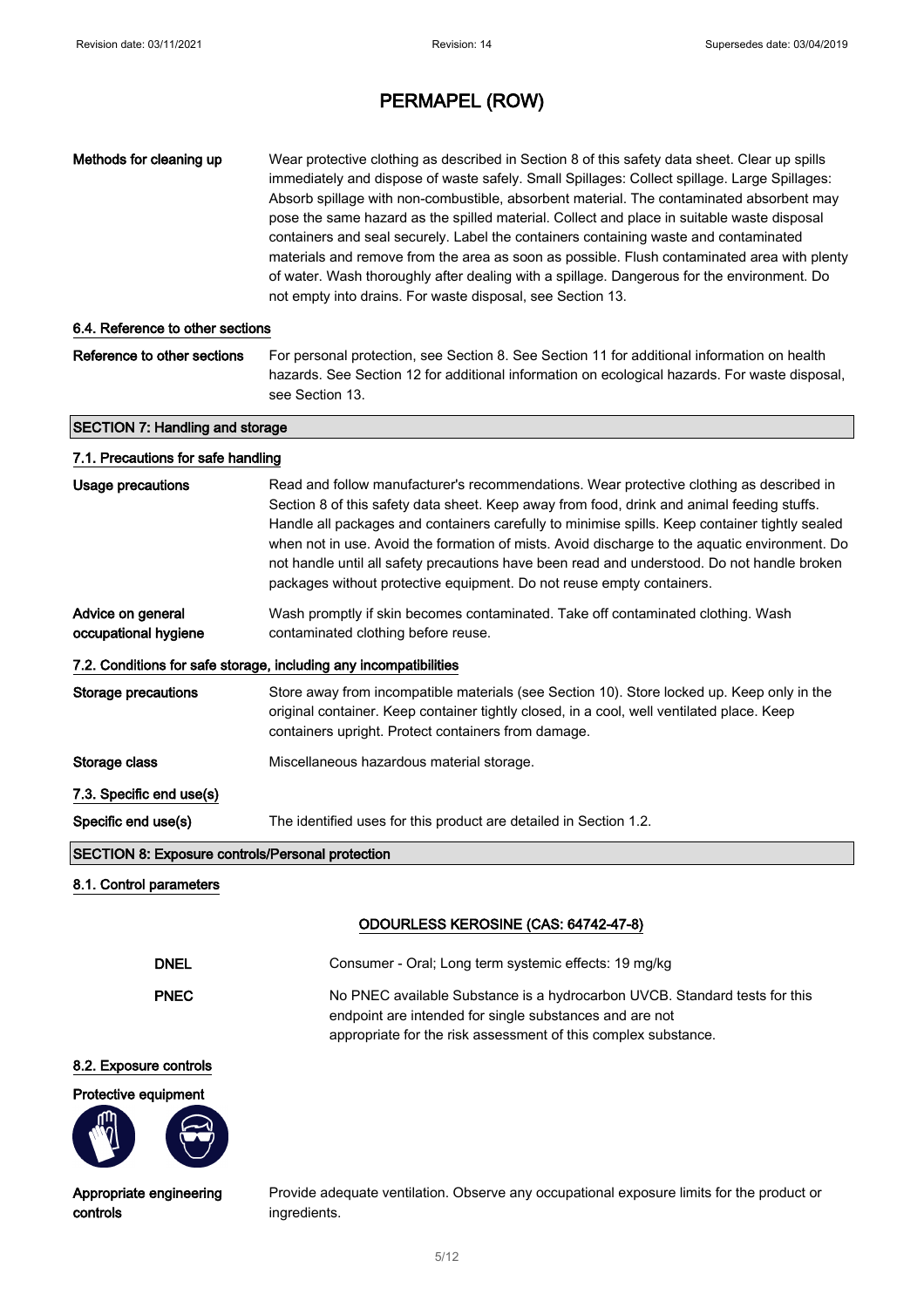controls

# PERMAPEL (ROW)

| Methods for cleaning up                                 | Wear protective clothing as described in Section 8 of this safety data sheet. Clear up spills<br>immediately and dispose of waste safely. Small Spillages: Collect spillage. Large Spillages:<br>Absorb spillage with non-combustible, absorbent material. The contaminated absorbent may<br>pose the same hazard as the spilled material. Collect and place in suitable waste disposal<br>containers and seal securely. Label the containers containing waste and contaminated<br>materials and remove from the area as soon as possible. Flush contaminated area with plenty<br>of water. Wash thoroughly after dealing with a spillage. Dangerous for the environment. Do<br>not empty into drains. For waste disposal, see Section 13. |
|---------------------------------------------------------|--------------------------------------------------------------------------------------------------------------------------------------------------------------------------------------------------------------------------------------------------------------------------------------------------------------------------------------------------------------------------------------------------------------------------------------------------------------------------------------------------------------------------------------------------------------------------------------------------------------------------------------------------------------------------------------------------------------------------------------------|
| 6.4. Reference to other sections                        |                                                                                                                                                                                                                                                                                                                                                                                                                                                                                                                                                                                                                                                                                                                                            |
| Reference to other sections                             | For personal protection, see Section 8. See Section 11 for additional information on health<br>hazards. See Section 12 for additional information on ecological hazards. For waste disposal,<br>see Section 13.                                                                                                                                                                                                                                                                                                                                                                                                                                                                                                                            |
| <b>SECTION 7: Handling and storage</b>                  |                                                                                                                                                                                                                                                                                                                                                                                                                                                                                                                                                                                                                                                                                                                                            |
| 7.1. Precautions for safe handling                      |                                                                                                                                                                                                                                                                                                                                                                                                                                                                                                                                                                                                                                                                                                                                            |
| <b>Usage precautions</b>                                | Read and follow manufacturer's recommendations. Wear protective clothing as described in<br>Section 8 of this safety data sheet. Keep away from food, drink and animal feeding stuffs.<br>Handle all packages and containers carefully to minimise spills. Keep container tightly sealed<br>when not in use. Avoid the formation of mists. Avoid discharge to the aquatic environment. Do<br>not handle until all safety precautions have been read and understood. Do not handle broken<br>packages without protective equipment. Do not reuse empty containers.                                                                                                                                                                          |
| Advice on general<br>occupational hygiene               | Wash promptly if skin becomes contaminated. Take off contaminated clothing. Wash<br>contaminated clothing before reuse.                                                                                                                                                                                                                                                                                                                                                                                                                                                                                                                                                                                                                    |
|                                                         | 7.2. Conditions for safe storage, including any incompatibilities                                                                                                                                                                                                                                                                                                                                                                                                                                                                                                                                                                                                                                                                          |
| <b>Storage precautions</b>                              | Store away from incompatible materials (see Section 10). Store locked up. Keep only in the<br>original container. Keep container tightly closed, in a cool, well ventilated place. Keep<br>containers upright. Protect containers from damage.                                                                                                                                                                                                                                                                                                                                                                                                                                                                                             |
| Storage class                                           | Miscellaneous hazardous material storage.                                                                                                                                                                                                                                                                                                                                                                                                                                                                                                                                                                                                                                                                                                  |
| 7.3. Specific end use(s)                                |                                                                                                                                                                                                                                                                                                                                                                                                                                                                                                                                                                                                                                                                                                                                            |
| Specific end use(s)                                     | The identified uses for this product are detailed in Section 1.2.                                                                                                                                                                                                                                                                                                                                                                                                                                                                                                                                                                                                                                                                          |
| <b>SECTION 8: Exposure controls/Personal protection</b> |                                                                                                                                                                                                                                                                                                                                                                                                                                                                                                                                                                                                                                                                                                                                            |
| 8.1. Control parameters                                 |                                                                                                                                                                                                                                                                                                                                                                                                                                                                                                                                                                                                                                                                                                                                            |
|                                                         | ODOURLESS KEROSINE (CAS: 64742-47-8)                                                                                                                                                                                                                                                                                                                                                                                                                                                                                                                                                                                                                                                                                                       |
| <b>DNEL</b>                                             | Consumer - Oral; Long term systemic effects: 19 mg/kg                                                                                                                                                                                                                                                                                                                                                                                                                                                                                                                                                                                                                                                                                      |
| <b>PNEC</b>                                             | No PNEC available Substance is a hydrocarbon UVCB. Standard tests for this<br>endpoint are intended for single substances and are not<br>appropriate for the risk assessment of this complex substance.                                                                                                                                                                                                                                                                                                                                                                                                                                                                                                                                    |
| 8.2. Exposure controls                                  |                                                                                                                                                                                                                                                                                                                                                                                                                                                                                                                                                                                                                                                                                                                                            |
| Protective equipment                                    |                                                                                                                                                                                                                                                                                                                                                                                                                                                                                                                                                                                                                                                                                                                                            |
| Appropriate engineering                                 | Provide adequate ventilation. Observe any occupational exposure limits for the product or                                                                                                                                                                                                                                                                                                                                                                                                                                                                                                                                                                                                                                                  |

ingredients.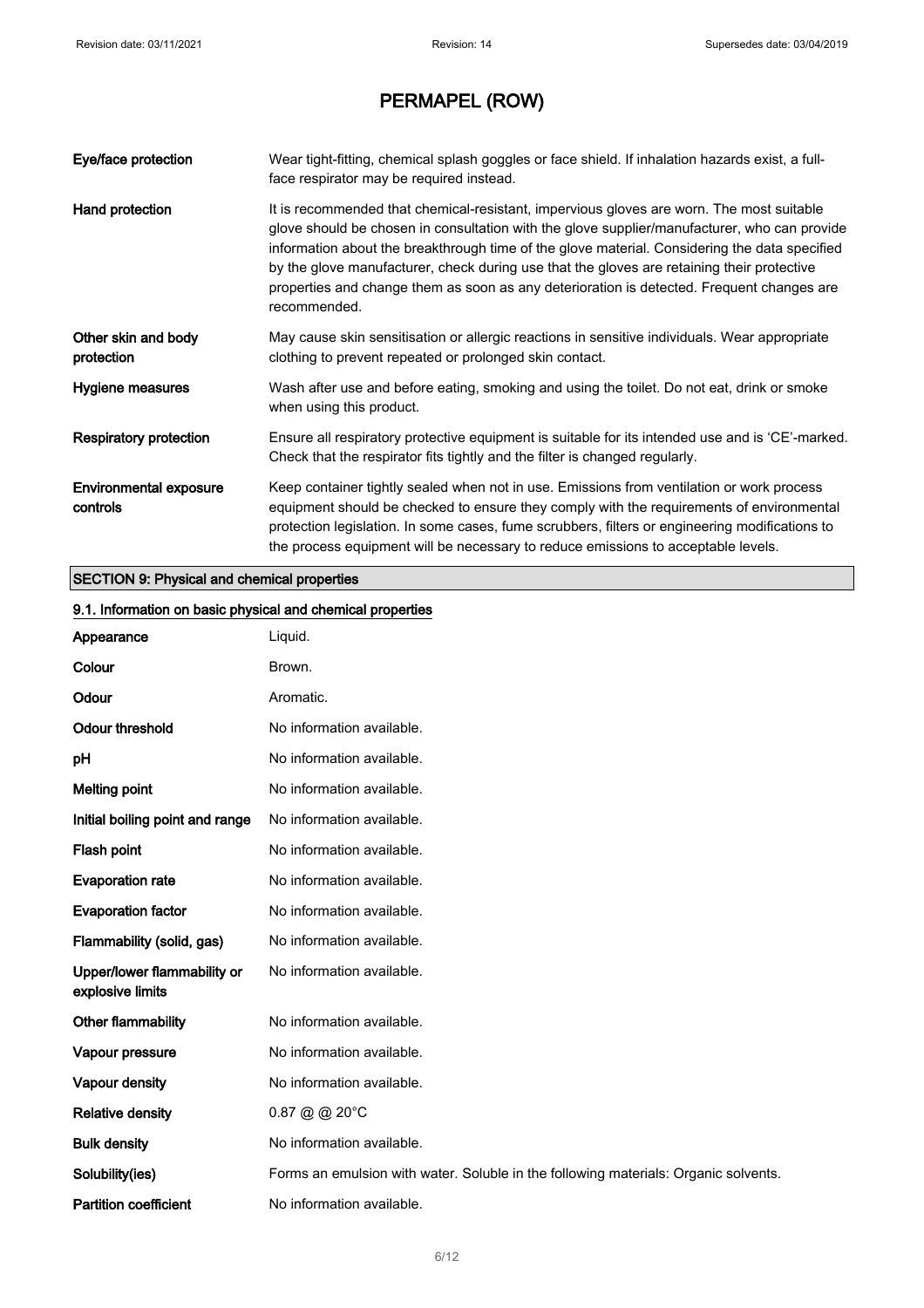| Eye/face protection                | Wear tight-fitting, chemical splash goggles or face shield. If inhalation hazards exist, a full-<br>face respirator may be required instead.                                                                                                                                                                                                                                                                                                                                                         |
|------------------------------------|------------------------------------------------------------------------------------------------------------------------------------------------------------------------------------------------------------------------------------------------------------------------------------------------------------------------------------------------------------------------------------------------------------------------------------------------------------------------------------------------------|
| Hand protection                    | It is recommended that chemical-resistant, impervious gloves are worn. The most suitable<br>glove should be chosen in consultation with the glove supplier/manufacturer, who can provide<br>information about the breakthrough time of the glove material. Considering the data specified<br>by the glove manufacturer, check during use that the gloves are retaining their protective<br>properties and change them as soon as any deterioration is detected. Frequent changes are<br>recommended. |
| Other skin and body<br>protection  | May cause skin sensitisation or allergic reactions in sensitive individuals. Wear appropriate<br>clothing to prevent repeated or prolonged skin contact.                                                                                                                                                                                                                                                                                                                                             |
| Hygiene measures                   | Wash after use and before eating, smoking and using the toilet. Do not eat, drink or smoke<br>when using this product.                                                                                                                                                                                                                                                                                                                                                                               |
| <b>Respiratory protection</b>      | Ensure all respiratory protective equipment is suitable for its intended use and is 'CE'-marked.<br>Check that the respirator fits tightly and the filter is changed regularly.                                                                                                                                                                                                                                                                                                                      |
| Environmental exposure<br>controls | Keep container tightly sealed when not in use. Emissions from ventilation or work process<br>equipment should be checked to ensure they comply with the requirements of environmental<br>protection legislation. In some cases, fume scrubbers, filters or engineering modifications to<br>the process equipment will be necessary to reduce emissions to acceptable levels.                                                                                                                         |

### SECTION 9: Physical and chemical properties

| 9.1. Information on basic physical and chemical properties |                                                                                     |
|------------------------------------------------------------|-------------------------------------------------------------------------------------|
| Appearance                                                 | Liquid.                                                                             |
| Colour                                                     | Brown.                                                                              |
| Odour                                                      | Aromatic.                                                                           |
| <b>Odour threshold</b>                                     | No information available.                                                           |
| pH                                                         | No information available.                                                           |
| <b>Melting point</b>                                       | No information available.                                                           |
| Initial boiling point and range                            | No information available.                                                           |
| Flash point                                                | No information available.                                                           |
| <b>Evaporation rate</b>                                    | No information available.                                                           |
| <b>Evaporation factor</b>                                  | No information available.                                                           |
| Flammability (solid, gas)                                  | No information available.                                                           |
| Upper/lower flammability or<br>explosive limits            | No information available.                                                           |
| Other flammability                                         | No information available.                                                           |
| Vapour pressure                                            | No information available.                                                           |
| Vapour density                                             | No information available.                                                           |
| <b>Relative density</b>                                    | $0.87$ @ @ 20 $^{\circ}$ C                                                          |
| <b>Bulk density</b>                                        | No information available.                                                           |
| Solubility(ies)                                            | Forms an emulsion with water. Soluble in the following materials: Organic solvents. |
| <b>Partition coefficient</b>                               | No information available.                                                           |
|                                                            |                                                                                     |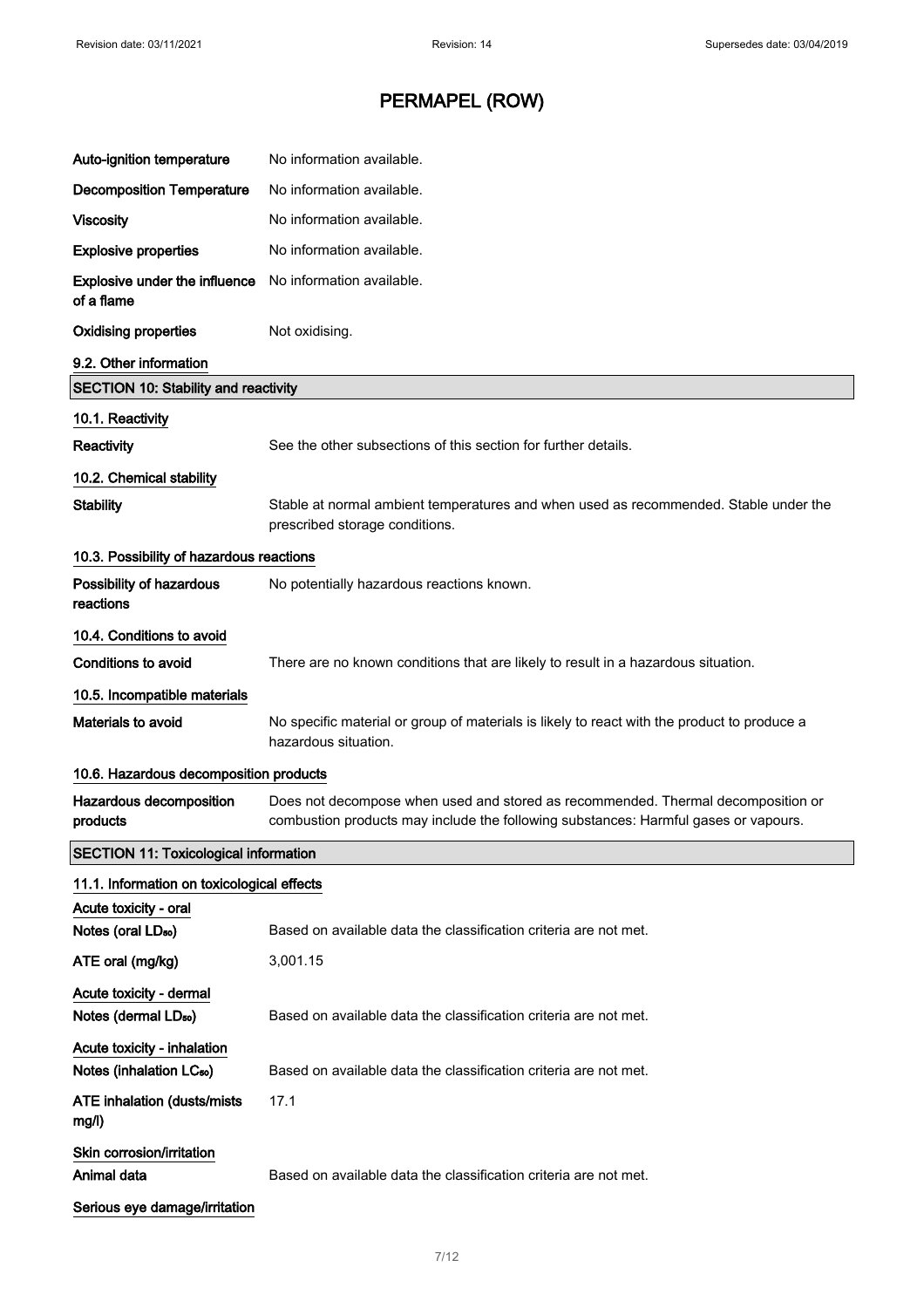| Auto-ignition temperature                                           | No information available.                                                                                                                                               |
|---------------------------------------------------------------------|-------------------------------------------------------------------------------------------------------------------------------------------------------------------------|
| <b>Decomposition Temperature</b>                                    | No information available.                                                                                                                                               |
| <b>Viscosity</b>                                                    | No information available.                                                                                                                                               |
| <b>Explosive properties</b>                                         | No information available.                                                                                                                                               |
| Explosive under the influence<br>of a flame                         | No information available.                                                                                                                                               |
| <b>Oxidising properties</b>                                         | Not oxidising.                                                                                                                                                          |
| 9.2. Other information                                              |                                                                                                                                                                         |
| <b>SECTION 10: Stability and reactivity</b>                         |                                                                                                                                                                         |
| 10.1. Reactivity                                                    |                                                                                                                                                                         |
| Reactivity                                                          | See the other subsections of this section for further details.                                                                                                          |
| 10.2. Chemical stability                                            |                                                                                                                                                                         |
| <b>Stability</b>                                                    | Stable at normal ambient temperatures and when used as recommended. Stable under the<br>prescribed storage conditions.                                                  |
| 10.3. Possibility of hazardous reactions                            |                                                                                                                                                                         |
| Possibility of hazardous<br>reactions                               | No potentially hazardous reactions known.                                                                                                                               |
| 10.4. Conditions to avoid                                           |                                                                                                                                                                         |
| Conditions to avoid                                                 | There are no known conditions that are likely to result in a hazardous situation.                                                                                       |
| 10.5. Incompatible materials                                        |                                                                                                                                                                         |
| Materials to avoid                                                  | No specific material or group of materials is likely to react with the product to produce a<br>hazardous situation.                                                     |
| 10.6. Hazardous decomposition products                              |                                                                                                                                                                         |
| Hazardous decomposition<br>products                                 | Does not decompose when used and stored as recommended. Thermal decomposition or<br>combustion products may include the following substances: Harmful gases or vapours. |
| <b>SECTION 11: Toxicological information</b>                        |                                                                                                                                                                         |
| 11.1. Information on toxicological effects                          |                                                                                                                                                                         |
| Acute toxicity - oral                                               |                                                                                                                                                                         |
| Notes (oral LD <sub>50</sub> )                                      | Based on available data the classification criteria are not met.                                                                                                        |
| ATE oral (mg/kg)                                                    | 3,001.15                                                                                                                                                                |
| Acute toxicity - dermal                                             |                                                                                                                                                                         |
| Notes (dermal LD <sub>50</sub> )                                    | Based on available data the classification criteria are not met.                                                                                                        |
| Acute toxicity - inhalation<br>Notes (inhalation LC <sub>50</sub> ) | Based on available data the classification criteria are not met.                                                                                                        |
| <b>ATE inhalation (dusts/mists)</b><br>mg/l)                        | 17.1                                                                                                                                                                    |
| Skin corrosion/irritation<br>Animal data                            | Based on available data the classification criteria are not met.                                                                                                        |
| Serious eye damage/irritation                                       |                                                                                                                                                                         |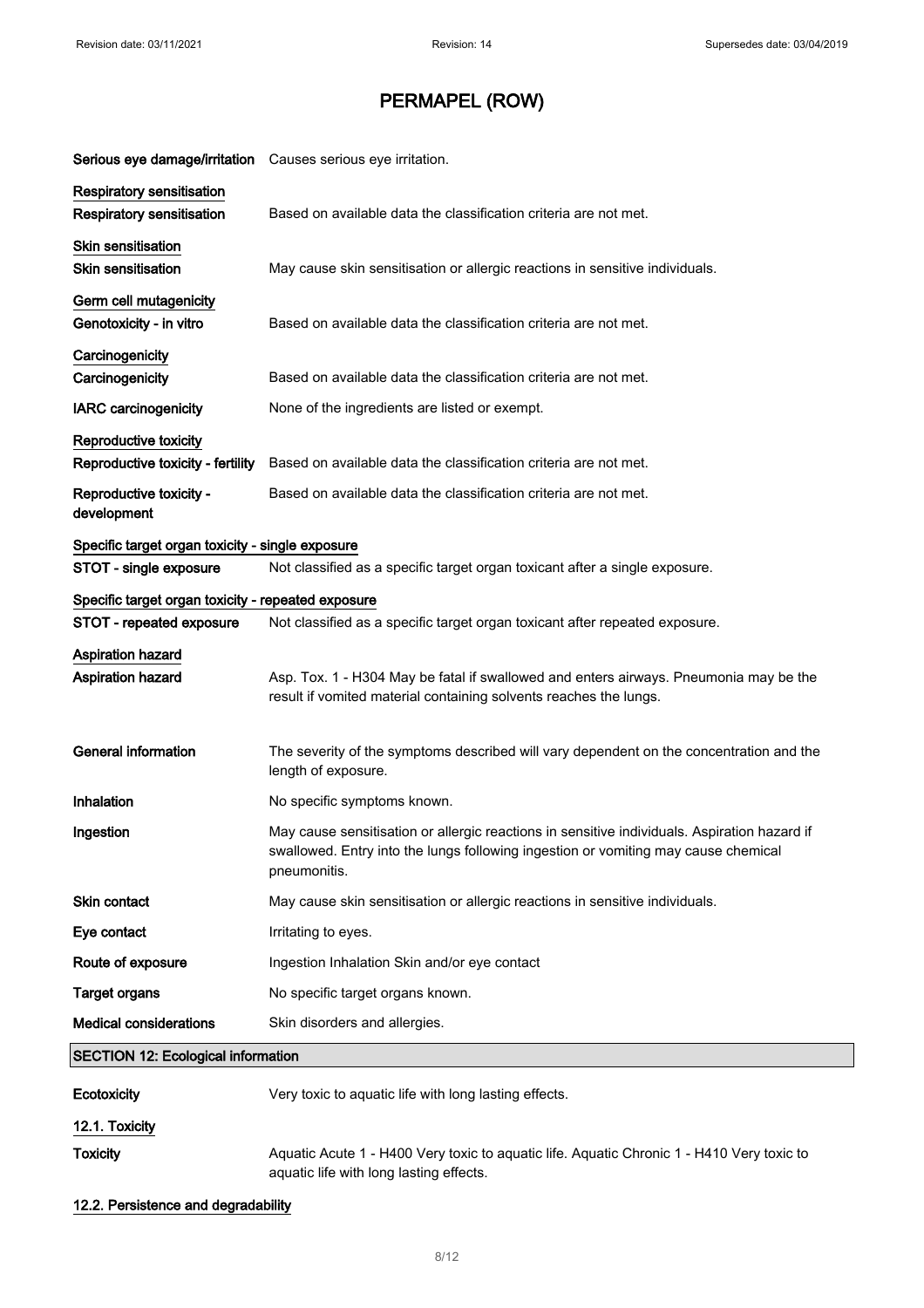| Serious eye damage/irritation Causes serious eye irritation. |                                                                                              |
|--------------------------------------------------------------|----------------------------------------------------------------------------------------------|
| <b>Respiratory sensitisation</b>                             |                                                                                              |
| <b>Respiratory sensitisation</b>                             | Based on available data the classification criteria are not met.                             |
| Skin sensitisation                                           |                                                                                              |
| <b>Skin sensitisation</b>                                    | May cause skin sensitisation or allergic reactions in sensitive individuals.                 |
| Germ cell mutagenicity                                       |                                                                                              |
| Genotoxicity - in vitro                                      | Based on available data the classification criteria are not met.                             |
| Carcinogenicity                                              |                                                                                              |
| Carcinogenicity                                              | Based on available data the classification criteria are not met.                             |
| <b>IARC</b> carcinogenicity                                  | None of the ingredients are listed or exempt.                                                |
| Reproductive toxicity                                        |                                                                                              |
| Reproductive toxicity - fertility                            | Based on available data the classification criteria are not met.                             |
| Reproductive toxicity -                                      | Based on available data the classification criteria are not met.                             |
| development                                                  |                                                                                              |
| Specific target organ toxicity - single exposure             |                                                                                              |
| STOT - single exposure                                       | Not classified as a specific target organ toxicant after a single exposure.                  |
| Specific target organ toxicity - repeated exposure           |                                                                                              |
| STOT - repeated exposure                                     | Not classified as a specific target organ toxicant after repeated exposure.                  |
| <b>Aspiration hazard</b>                                     |                                                                                              |
| <b>Aspiration hazard</b>                                     | Asp. Tox. 1 - H304 May be fatal if swallowed and enters airways. Pneumonia may be the        |
|                                                              | result if vomited material containing solvents reaches the lungs.                            |
|                                                              |                                                                                              |
| <b>General information</b>                                   | The severity of the symptoms described will vary dependent on the concentration and the      |
|                                                              | length of exposure.                                                                          |
| Inhalation                                                   | No specific symptoms known.                                                                  |
| Ingestion                                                    | May cause sensitisation or allergic reactions in sensitive individuals. Aspiration hazard if |
|                                                              | swallowed. Entry into the lungs following ingestion or vomiting may cause chemical           |
|                                                              | pneumonitis.                                                                                 |
| <b>Skin contact</b>                                          | May cause skin sensitisation or allergic reactions in sensitive individuals.                 |
| Eye contact                                                  | Irritating to eyes.                                                                          |
| Route of exposure                                            | Ingestion Inhalation Skin and/or eye contact                                                 |
| <b>Target organs</b>                                         | No specific target organs known.                                                             |
| <b>Medical considerations</b>                                | Skin disorders and allergies.                                                                |
| <b>SECTION 12: Ecological information</b>                    |                                                                                              |
| <b>Ecotoxicity</b>                                           | Very toxic to aquatic life with long lasting effects.                                        |
| 12.1. Toxicity                                               |                                                                                              |
| <b>Toxicity</b>                                              | Aquatic Acute 1 - H400 Very toxic to aquatic life. Aquatic Chronic 1 - H410 Very toxic to    |
|                                                              |                                                                                              |

#### 12.2. Persistence and degradability

aquatic life with long lasting effects.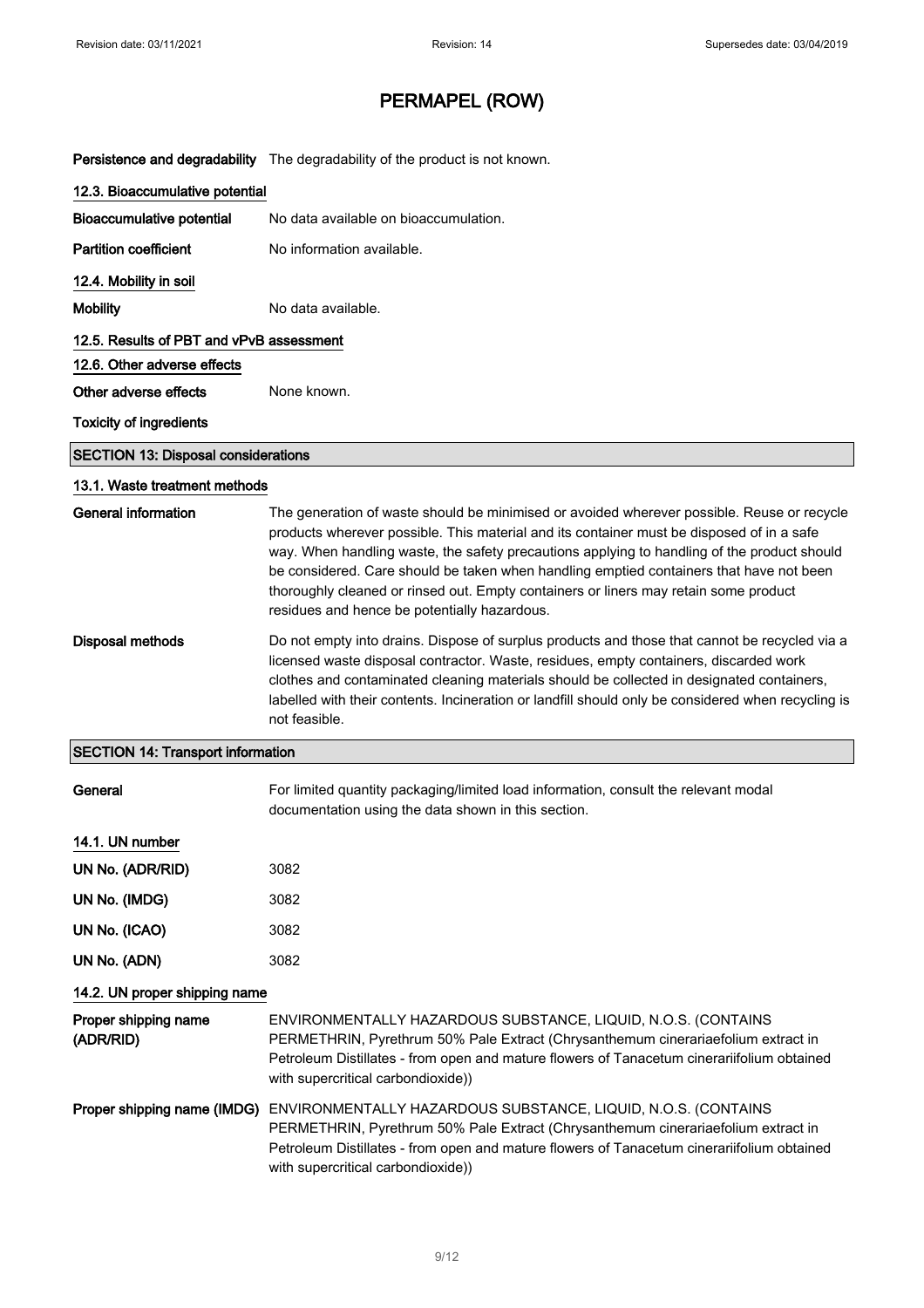Persistence and degradability The degradability of the product is not known.

| 12.3. Bioaccumulative potential            |                                                                                                                                                                                                                                                                                                                                                                                                                                                                                                                           |
|--------------------------------------------|---------------------------------------------------------------------------------------------------------------------------------------------------------------------------------------------------------------------------------------------------------------------------------------------------------------------------------------------------------------------------------------------------------------------------------------------------------------------------------------------------------------------------|
| <b>Bioaccumulative potential</b>           | No data available on bioaccumulation.                                                                                                                                                                                                                                                                                                                                                                                                                                                                                     |
| <b>Partition coefficient</b>               | No information available.                                                                                                                                                                                                                                                                                                                                                                                                                                                                                                 |
| 12.4. Mobility in soil                     |                                                                                                                                                                                                                                                                                                                                                                                                                                                                                                                           |
| <b>Mobility</b>                            | No data available.                                                                                                                                                                                                                                                                                                                                                                                                                                                                                                        |
| 12.5. Results of PBT and vPvB assessment   |                                                                                                                                                                                                                                                                                                                                                                                                                                                                                                                           |
| 12.6. Other adverse effects                |                                                                                                                                                                                                                                                                                                                                                                                                                                                                                                                           |
| Other adverse effects                      | None known.                                                                                                                                                                                                                                                                                                                                                                                                                                                                                                               |
| <b>Toxicity of ingredients</b>             |                                                                                                                                                                                                                                                                                                                                                                                                                                                                                                                           |
| <b>SECTION 13: Disposal considerations</b> |                                                                                                                                                                                                                                                                                                                                                                                                                                                                                                                           |
| 13.1. Waste treatment methods              |                                                                                                                                                                                                                                                                                                                                                                                                                                                                                                                           |
| General information                        | The generation of waste should be minimised or avoided wherever possible. Reuse or recycle<br>products wherever possible. This material and its container must be disposed of in a safe<br>way. When handling waste, the safety precautions applying to handling of the product should<br>be considered. Care should be taken when handling emptied containers that have not been<br>thoroughly cleaned or rinsed out. Empty containers or liners may retain some product<br>residues and hence be potentially hazardous. |
| <b>Disposal methods</b>                    | Do not empty into drains. Dispose of surplus products and those that cannot be recycled via a<br>licensed waste disposal contractor. Waste, residues, empty containers, discarded work<br>clothes and contaminated cleaning materials should be collected in designated containers,<br>labelled with their contents. Incineration or landfill should only be considered when recycling is<br>not feasible.                                                                                                                |
| <b>SECTION 14: Transport information</b>   |                                                                                                                                                                                                                                                                                                                                                                                                                                                                                                                           |
| General                                    | For limited quantity packaging/limited load information, consult the relevant modal<br>documentation using the data shown in this section.                                                                                                                                                                                                                                                                                                                                                                                |
| 14.1. UN number                            |                                                                                                                                                                                                                                                                                                                                                                                                                                                                                                                           |
| UN No. (ADR/RID)                           | 3082                                                                                                                                                                                                                                                                                                                                                                                                                                                                                                                      |
| UN No. (IMDG)                              | 3082                                                                                                                                                                                                                                                                                                                                                                                                                                                                                                                      |
| UN No. (ICAO)                              | 3082                                                                                                                                                                                                                                                                                                                                                                                                                                                                                                                      |
| UN No. (ADN)                               | 3082                                                                                                                                                                                                                                                                                                                                                                                                                                                                                                                      |
| 14.2. UN proper shipping name              |                                                                                                                                                                                                                                                                                                                                                                                                                                                                                                                           |
| Proper shipping name<br>(ADR/RID)          | ENVIRONMENTALLY HAZARDOUS SUBSTANCE, LIQUID, N.O.S. (CONTAINS<br>PERMETHRIN, Pyrethrum 50% Pale Extract (Chrysanthemum cinerariaefolium extract in<br>Petroleum Distillates - from open and mature flowers of Tanacetum cinerariifolium obtained<br>with supercritical carbondioxide))                                                                                                                                                                                                                                    |
| Proper shipping name (IMDG)                | ENVIRONMENTALLY HAZARDOUS SUBSTANCE, LIQUID, N.O.S. (CONTAINS<br>PERMETHRIN, Pyrethrum 50% Pale Extract (Chrysanthemum cinerariaefolium extract in<br>Petroleum Distillates - from open and mature flowers of Tanacetum cinerariifolium obtained<br>with supercritical carbondioxide))                                                                                                                                                                                                                                    |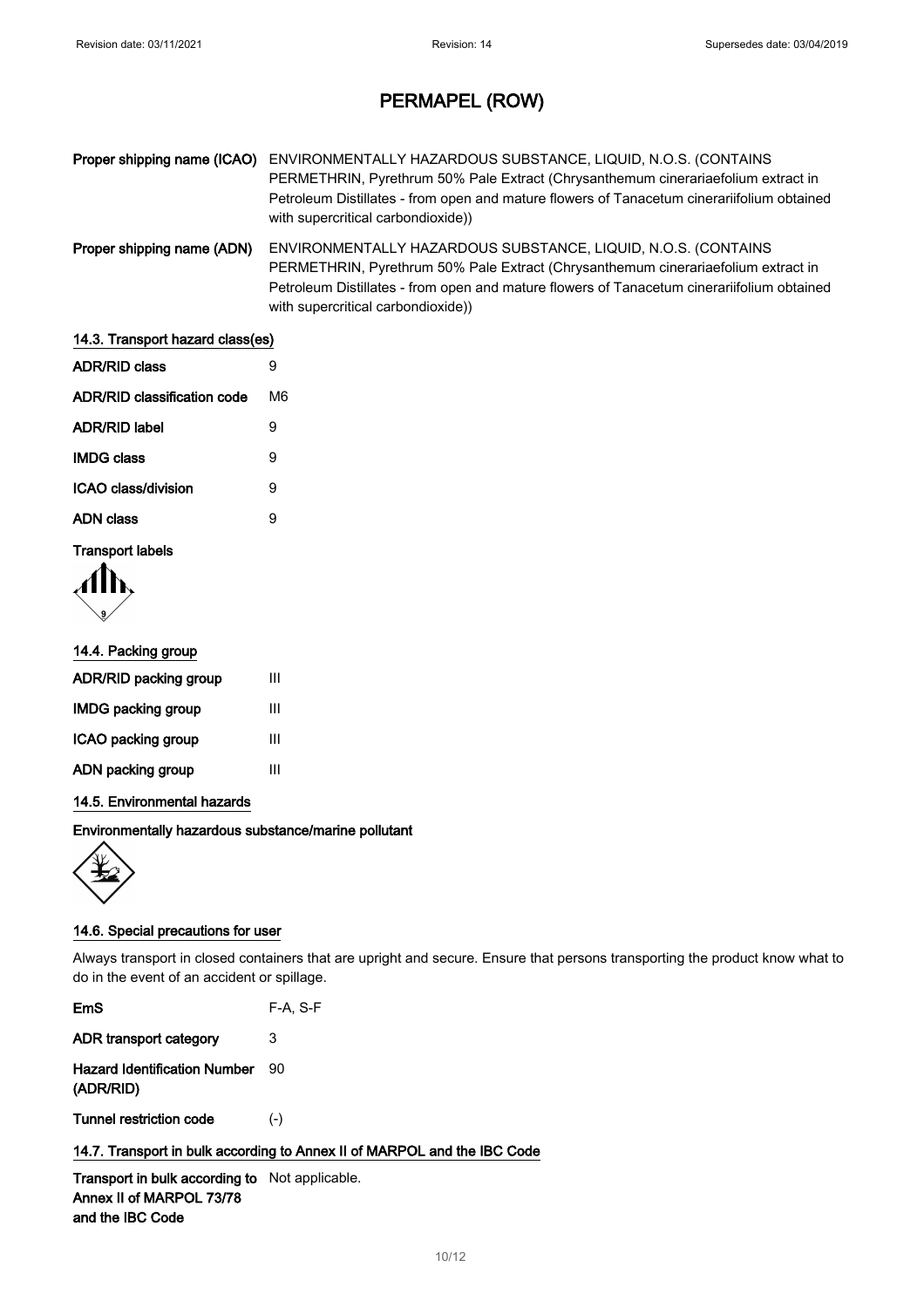| Proper shipping name (ICAO) | ENVIRONMENTALLY HAZARDOUS SUBSTANCE, LIQUID, N.O.S. (CONTAINS<br>PERMETHRIN, Pyrethrum 50% Pale Extract (Chrysanthemum cinerariaefolium extract in<br>Petroleum Distillates - from open and mature flowers of Tanacetum cinerariifolium obtained<br>with supercritical carbondioxide)) |
|-----------------------------|----------------------------------------------------------------------------------------------------------------------------------------------------------------------------------------------------------------------------------------------------------------------------------------|
| Proper shipping name (ADN)  | ENVIRONMENTALLY HAZARDOUS SUBSTANCE, LIQUID, N.O.S. (CONTAINS<br>PERMETHRIN, Pyrethrum 50% Pale Extract (Chrysanthemum cinerariaefolium extract in<br>Petroleum Distillates - from open and mature flowers of Tanacetum cinerariifolium obtained<br>with supercritical carbondioxide)) |

| 14.3. Transport hazard class(es) |    |  |
|----------------------------------|----|--|
| <b>ADR/RID class</b>             | 9  |  |
| ADR/RID classification code      | M6 |  |
| <b>ADR/RID label</b>             | 9  |  |
| <b>IMDG class</b>                | 9  |  |
| ICAO class/division              | 9  |  |
| <b>ADN class</b>                 | 9  |  |
| <b>Transport labels</b>          |    |  |

TY.

#### 14.4. Packing group

| ADR/RID packing group     | Ш |
|---------------------------|---|
| <b>IMDG packing group</b> | ш |
| ICAO packing group        | ш |
| ADN packing group         | Ш |
|                           |   |

#### 14.5. Environmental hazards

#### Environmentally hazardous substance/marine pollutant



#### 14.6. Special precautions for user

Always transport in closed containers that are upright and secure. Ensure that persons transporting the product know what to do in the event of an accident or spillage.

| EmS                                       | $F-A, S-F$ |
|-------------------------------------------|------------|
| ADR transport category                    | З          |
| Hazard Identification Number<br>(ADR/RID) | 90         |
| Tunnel restriction code                   | $(-)$      |

#### 14.7. Transport in bulk according to Annex II of MARPOL and the IBC Code

Transport in bulk according to Not applicable. Annex II of MARPOL 73/78 and the IBC Code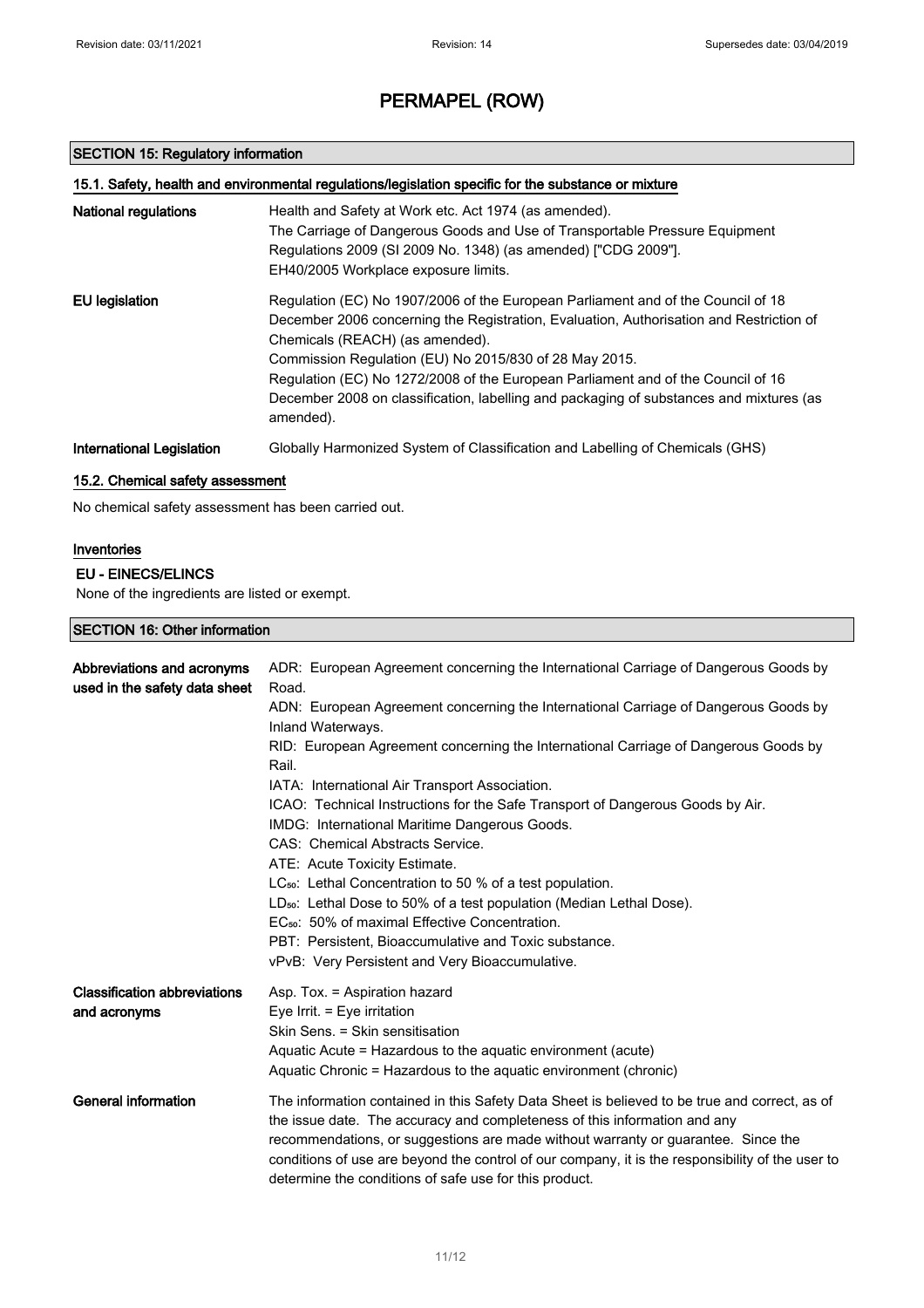#### SECTION 15: Regulatory information

| 15.1. Safety, health and environmental regulations/legislation specific for the substance or mixture |                                                                                                                                                                                                                                                                                                                                                                                                                                                                      |  |
|------------------------------------------------------------------------------------------------------|----------------------------------------------------------------------------------------------------------------------------------------------------------------------------------------------------------------------------------------------------------------------------------------------------------------------------------------------------------------------------------------------------------------------------------------------------------------------|--|
| <b>National regulations</b>                                                                          | Health and Safety at Work etc. Act 1974 (as amended).<br>The Carriage of Dangerous Goods and Use of Transportable Pressure Equipment<br>Regulations 2009 (SI 2009 No. 1348) (as amended) ["CDG 2009"].<br>EH40/2005 Workplace exposure limits.                                                                                                                                                                                                                       |  |
| EU legislation                                                                                       | Regulation (EC) No 1907/2006 of the European Parliament and of the Council of 18<br>December 2006 concerning the Registration, Evaluation, Authorisation and Restriction of<br>Chemicals (REACH) (as amended).<br>Commission Regulation (EU) No 2015/830 of 28 May 2015.<br>Regulation (EC) No 1272/2008 of the European Parliament and of the Council of 16<br>December 2008 on classification, labelling and packaging of substances and mixtures (as<br>amended). |  |
| International Legislation                                                                            | Globally Harmonized System of Classification and Labelling of Chemicals (GHS)                                                                                                                                                                                                                                                                                                                                                                                        |  |

#### 15.2. Chemical safety assessment

No chemical safety assessment has been carried out.

#### Inventories

#### EU - EINECS/ELINCS

None of the ingredients are listed or exempt.

#### SECTION 16: Other information

| Abbreviations and acronyms<br>used in the safety data sheet | ADR: European Agreement concerning the International Carriage of Dangerous Goods by<br>Road.<br>ADN: European Agreement concerning the International Carriage of Dangerous Goods by                                                                             |
|-------------------------------------------------------------|-----------------------------------------------------------------------------------------------------------------------------------------------------------------------------------------------------------------------------------------------------------------|
|                                                             | Inland Waterways.                                                                                                                                                                                                                                               |
|                                                             | RID: European Agreement concerning the International Carriage of Dangerous Goods by<br>Rail.                                                                                                                                                                    |
|                                                             | IATA: International Air Transport Association.                                                                                                                                                                                                                  |
|                                                             | ICAO: Technical Instructions for the Safe Transport of Dangerous Goods by Air.                                                                                                                                                                                  |
|                                                             | IMDG: International Maritime Dangerous Goods.                                                                                                                                                                                                                   |
|                                                             | CAS: Chemical Abstracts Service.                                                                                                                                                                                                                                |
|                                                             | ATE: Acute Toxicity Estimate.                                                                                                                                                                                                                                   |
|                                                             | LC <sub>50</sub> : Lethal Concentration to 50 % of a test population.                                                                                                                                                                                           |
|                                                             | LD <sub>50</sub> : Lethal Dose to 50% of a test population (Median Lethal Dose).                                                                                                                                                                                |
|                                                             | EC <sub>50</sub> : 50% of maximal Effective Concentration.                                                                                                                                                                                                      |
|                                                             | PBT: Persistent, Bioaccumulative and Toxic substance.<br>vPvB: Very Persistent and Very Bioaccumulative.                                                                                                                                                        |
| <b>Classification abbreviations</b>                         | Asp. Tox. = Aspiration hazard                                                                                                                                                                                                                                   |
| and acronyms                                                | Eye Irrit. $=$ Eye irritation                                                                                                                                                                                                                                   |
|                                                             | Skin Sens. = Skin sensitisation                                                                                                                                                                                                                                 |
|                                                             | Aquatic Acute = Hazardous to the aquatic environment (acute)<br>Aquatic Chronic = Hazardous to the aquatic environment (chronic)                                                                                                                                |
| <b>General information</b>                                  | The information contained in this Safety Data Sheet is believed to be true and correct, as of<br>the issue date. The accuracy and completeness of this information and any<br>recommendations, or suggestions are made without warranty or guarantee. Since the |
|                                                             | conditions of use are beyond the control of our company, it is the responsibility of the user to<br>determine the conditions of safe use for this product.                                                                                                      |